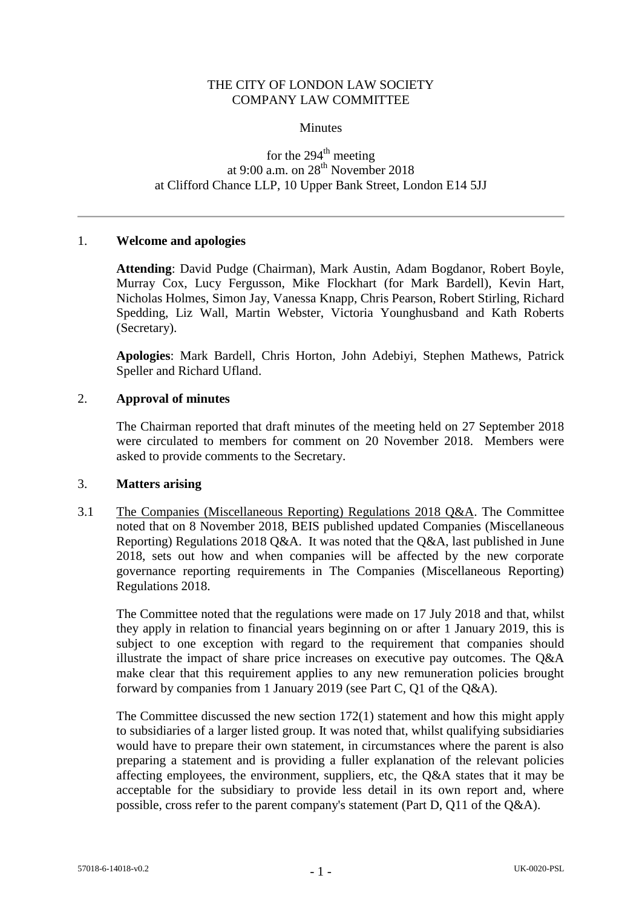### THE CITY OF LONDON LAW SOCIETY COMPANY LAW COMMITTEE

#### **Minutes**

# for the  $294<sup>th</sup>$  meeting at 9:00 a.m. on  $28<sup>th</sup>$  November 2018 at Clifford Chance LLP, 10 Upper Bank Street, London E14 5JJ

### 1. **Welcome and apologies**

**Attending**: David Pudge (Chairman), Mark Austin, Adam Bogdanor, Robert Boyle, Murray Cox, Lucy Fergusson, Mike Flockhart (for Mark Bardell), Kevin Hart, Nicholas Holmes, Simon Jay, Vanessa Knapp, Chris Pearson, Robert Stirling, Richard Spedding, Liz Wall, Martin Webster, Victoria Younghusband and Kath Roberts (Secretary).

**Apologies**: Mark Bardell, Chris Horton, John Adebiyi, Stephen Mathews, Patrick Speller and Richard Ufland.

### 2. **Approval of minutes**

The Chairman reported that draft minutes of the meeting held on 27 September 2018 were circulated to members for comment on 20 November 2018. Members were asked to provide comments to the Secretary.

#### 3. **Matters arising**

3.1 The Companies (Miscellaneous Reporting) Regulations 2018 Q&A. The Committee noted that on 8 November 2018, BEIS published updated Companies (Miscellaneous Reporting) Regulations 2018 Q&A. It was noted that the Q&A, last published in June 2018, sets out how and when companies will be affected by the new corporate governance reporting requirements in The Companies (Miscellaneous Reporting) Regulations 2018.

The Committee noted that the regulations were made on 17 July 2018 and that, whilst they apply in relation to financial years beginning on or after 1 January 2019, this is subject to one exception with regard to the requirement that companies should illustrate the impact of share price increases on executive pay outcomes. The Q&A make clear that this requirement applies to any new remuneration policies brought forward by companies from 1 January 2019 (see Part C, Q1 of the Q&A).

The Committee discussed the new section 172(1) statement and how this might apply to subsidiaries of a larger listed group. It was noted that, whilst qualifying subsidiaries would have to prepare their own statement, in circumstances where the parent is also preparing a statement and is providing a fuller explanation of the relevant policies affecting employees, the environment, suppliers, etc, the Q&A states that it may be acceptable for the subsidiary to provide less detail in its own report and, where possible, cross refer to the parent company's statement (Part D, Q11 of the Q&A).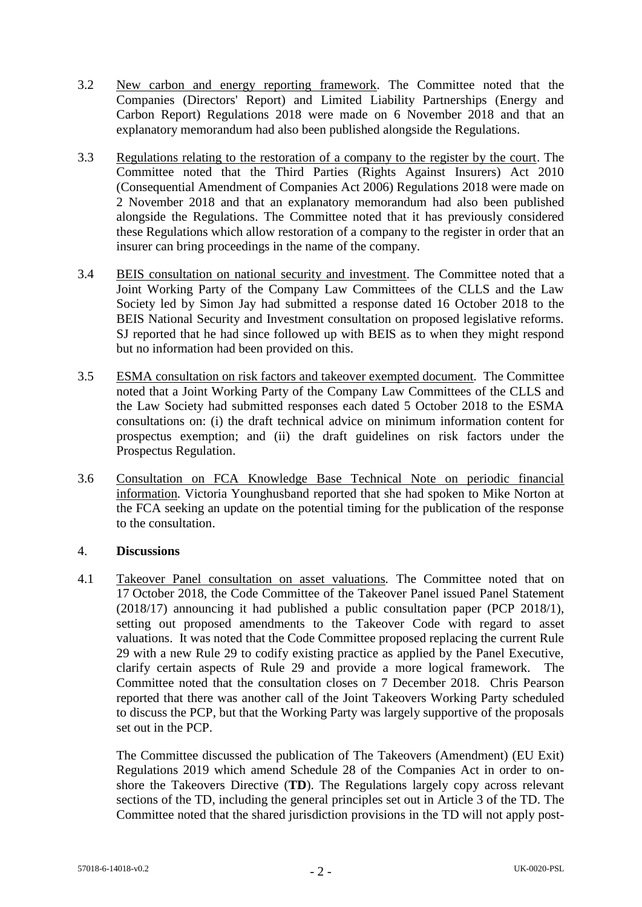- 3.2 New carbon and energy reporting framework. The Committee noted that the Companies (Directors' Report) and Limited Liability Partnerships (Energy and Carbon Report) Regulations 2018 were made on 6 November 2018 and that an explanatory memorandum had also been published alongside the Regulations.
- 3.3 Regulations relating to the restoration of a company to the register by the court. The Committee noted that the Third Parties (Rights Against Insurers) Act 2010 (Consequential Amendment of Companies Act 2006) Regulations 2018 were made on 2 November 2018 and that an explanatory memorandum had also been published alongside the Regulations. The Committee noted that it has previously considered these Regulations which allow restoration of a company to the register in order that an insurer can bring proceedings in the name of the company.
- 3.4 BEIS consultation on national security and investment. The Committee noted that a Joint Working Party of the Company Law Committees of the CLLS and the Law Society led by Simon Jay had submitted a response dated 16 October 2018 to the BEIS National Security and Investment consultation on proposed legislative reforms. SJ reported that he had since followed up with BEIS as to when they might respond but no information had been provided on this.
- 3.5 ESMA consultation on risk factors and takeover exempted document*.* The Committee noted that a Joint Working Party of the Company Law Committees of the CLLS and the Law Society had submitted responses each dated 5 October 2018 to the ESMA consultations on: (i) the draft technical advice on minimum information content for prospectus exemption; and (ii) the draft guidelines on risk factors under the Prospectus Regulation.
- <span id="page-1-0"></span>3.6 Consultation on FCA Knowledge Base Technical Note on periodic financial information*.* Victoria Younghusband reported that she had spoken to Mike Norton at the FCA seeking an update on the potential timing for the publication of the response to the consultation.

### 4. **Discussions**

4.1 Takeover Panel consultation on asset valuations*.* The Committee noted that on 17 October 2018, the Code Committee of the Takeover Panel issued Panel Statement (2018/17) announcing it had published a public consultation paper (PCP 2018/1), setting out proposed amendments to the Takeover Code with regard to asset valuations. It was noted that the Code Committee proposed replacing the current Rule 29 with a new Rule 29 to codify existing practice as applied by the Panel Executive, clarify certain aspects of Rule 29 and provide a more logical framework. The Committee noted that the consultation closes on 7 December 2018. Chris Pearson reported that there was another call of the Joint Takeovers Working Party scheduled to discuss the PCP, but that the Working Party was largely supportive of the proposals set out in the PCP.

The Committee discussed the publication of The Takeovers (Amendment) (EU Exit) Regulations 2019 which amend Schedule 28 of the Companies Act in order to onshore the Takeovers Directive (**TD**). The Regulations largely copy across relevant sections of the TD, including the general principles set out in Article 3 of the TD. The Committee noted that the shared jurisdiction provisions in the TD will not apply post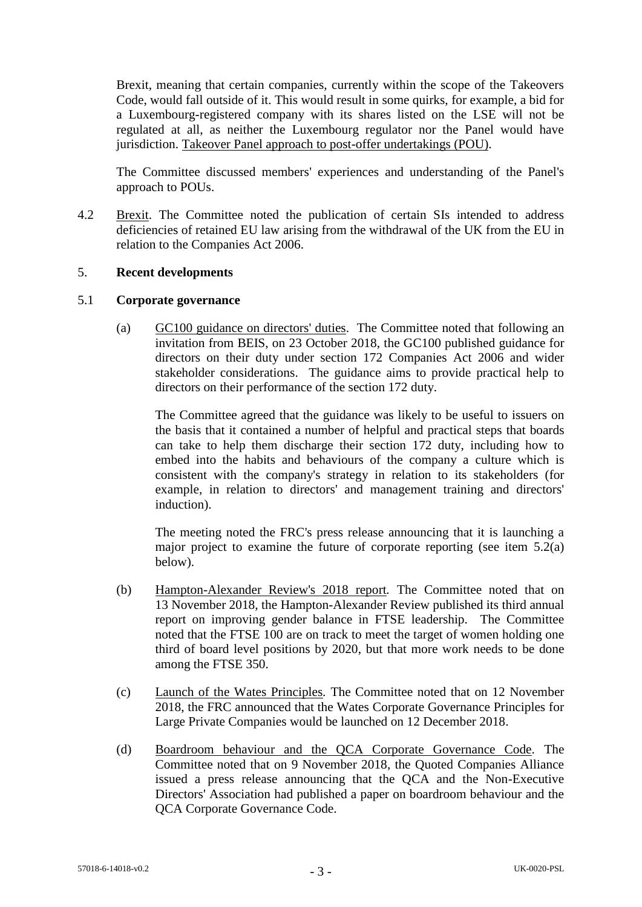Brexit, meaning that certain companies, currently within the scope of the Takeovers Code, would fall outside of it. This would result in some quirks, for example, a bid for a Luxembourg-registered company with its shares listed on the LSE will not be regulated at all, as neither the Luxembourg regulator nor the Panel would have jurisdiction. Takeover Panel approach to post-offer undertakings (POU).

The Committee discussed members' experiences and understanding of the Panel's approach to POUs.

4.2 Brexit. The Committee noted the publication of certain SIs intended to address deficiencies of retained EU law arising from the withdrawal of the UK from the EU in relation to the Companies Act 2006.

### 5. **Recent developments**

### 5.1 **Corporate governance**

(a) GC100 guidance on directors' duties. The Committee noted that following an invitation from BEIS, on 23 October 2018, the GC100 published guidance for directors on their duty under section 172 Companies Act 2006 and wider stakeholder considerations. The guidance aims to provide practical help to directors on their performance of the section 172 duty.

The Committee agreed that the guidance was likely to be useful to issuers on the basis that it contained a number of helpful and practical steps that boards can take to help them discharge their section 172 duty, including how to embed into the habits and behaviours of the company a culture which is consistent with the company's strategy in relation to its stakeholders (for example, in relation to directors' and management training and directors' induction).

The meeting noted the FRC's press release announcing that it is launching a major project to examine the future of corporate reporting (see item [5.2\(a\)](#page-3-0) below).

- (b) Hampton-Alexander Review's 2018 report*.* The Committee noted that on 13 November 2018, the Hampton-Alexander Review published its third annual report on improving gender balance in FTSE leadership. The Committee noted that the FTSE 100 are on track to meet the target of women holding one third of board level positions by 2020, but that more work needs to be done among the FTSE 350.
- (c) Launch of the Wates Principles*.* The Committee noted that on 12 November 2018, the FRC announced that the Wates Corporate Governance Principles for Large Private Companies would be launched on 12 December 2018.
- (d) Boardroom behaviour and the QCA Corporate Governance Code*.* The Committee noted that on 9 November 2018, the Quoted Companies Alliance issued a press release announcing that the QCA and the Non-Executive Directors' Association had published a paper on boardroom behaviour and the QCA Corporate Governance Code.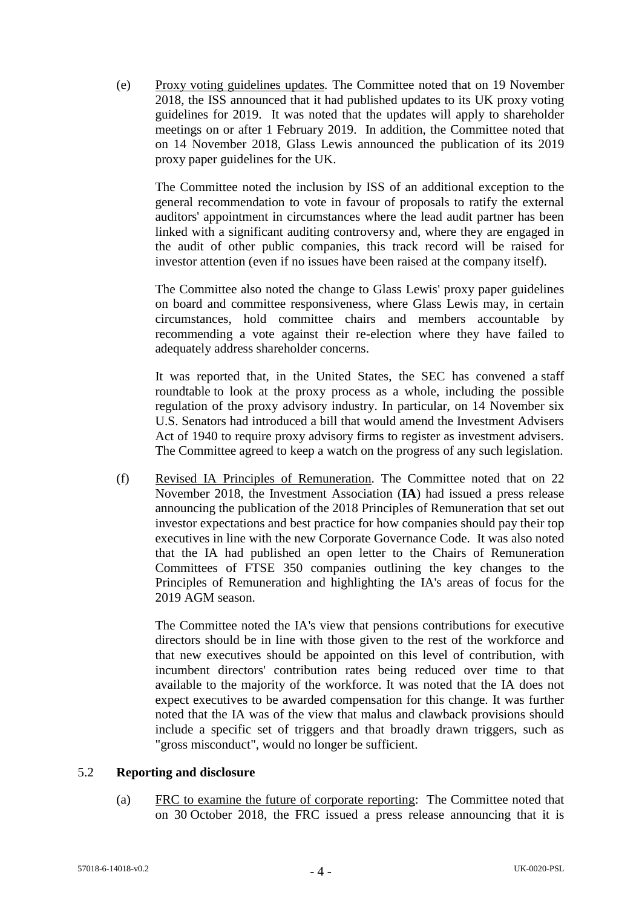(e) Proxy voting guidelines updates*.* The Committee noted that on 19 November 2018, the ISS announced that it had published updates to its UK proxy voting guidelines for 2019. It was noted that the updates will apply to shareholder meetings on or after 1 February 2019. In addition, the Committee noted that on 14 November 2018, Glass Lewis announced the publication of its 2019 proxy paper guidelines for the UK.

The Committee noted the inclusion by ISS of an additional exception to the general recommendation to vote in favour of proposals to ratify the external auditors' appointment in circumstances where the lead audit partner has been linked with a significant auditing controversy and, where they are engaged in the audit of other public companies, this track record will be raised for investor attention (even if no issues have been raised at the company itself).

The Committee also noted the change to Glass Lewis' proxy paper guidelines on board and committee responsiveness, where Glass Lewis may, in certain circumstances, hold committee chairs and members accountable by recommending a vote against their re-election where they have failed to adequately address shareholder concerns.

It was reported that, in the United States, the SEC has convened a staff roundtable to look at the proxy process as a whole, including the possible regulation of the proxy advisory industry. In particular, on 14 November six U.S. Senators had introduced a bill that would amend the Investment Advisers Act of 1940 to require proxy advisory firms to register as investment advisers. The Committee agreed to keep a watch on the progress of any such legislation.

(f) Revised IA Principles of Remuneration*.* The Committee noted that on 22 November 2018, the Investment Association (**IA**) had issued a press release announcing the publication of the 2018 Principles of Remuneration that set out investor expectations and best practice for how companies should pay their top executives in line with the new Corporate Governance Code. It was also noted that the IA had published an open letter to the Chairs of Remuneration Committees of FTSE 350 companies outlining the key changes to the Principles of Remuneration and highlighting the IA's areas of focus for the 2019 AGM season.

The Committee noted the IA's view that pensions contributions for executive directors should be in line with those given to the rest of the workforce and that new executives should be appointed on this level of contribution, with incumbent directors' contribution rates being reduced over time to that available to the majority of the workforce. It was noted that the IA does not expect executives to be awarded compensation for this change. It was further noted that the IA was of the view that malus and clawback provisions should include a specific set of triggers and that broadly drawn triggers, such as "gross misconduct", would no longer be sufficient.

### <span id="page-3-0"></span>5.2 **Reporting and disclosure**

(a) FRC to examine the future of corporate reporting: The Committee noted that on 30 October 2018, the FRC issued a press release announcing that it is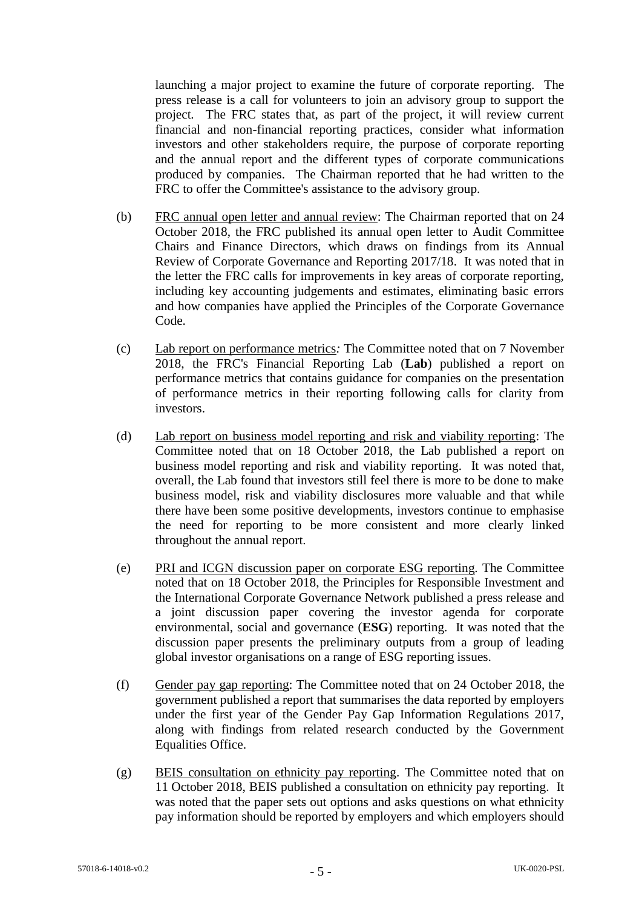launching a major project to examine the future of corporate reporting. The press release is a call for volunteers to join an advisory group to support the project*.* The FRC states that, as part of the project, it will review current financial and non-financial reporting practices, consider what information investors and other stakeholders require, the purpose of corporate reporting and the annual report and the different types of corporate communications produced by companies. The Chairman reported that he had written to the FRC to offer the Committee's assistance to the advisory group.

- (b) FRC annual open letter and annual review: The Chairman reported that on 24 October 2018, the FRC published its annual open letter to Audit Committee Chairs and Finance Directors, which draws on findings from its Annual Review of Corporate Governance and Reporting 2017/18. It was noted that in the letter the FRC calls for improvements in key areas of corporate reporting, including key accounting judgements and estimates, eliminating basic errors and how companies have applied the Principles of the Corporate Governance Code.
- (c) Lab report on performance metrics*:* The Committee noted that on 7 November 2018, the FRC's Financial Reporting Lab (**Lab**) published a report on performance metrics that contains guidance for companies on the presentation of performance metrics in their reporting following calls for clarity from investors.
- (d) Lab report on business model reporting and risk and viability reporting: The Committee noted that on 18 October 2018, the Lab published a report on business model reporting and risk and viability reporting. It was noted that, overall, the Lab found that investors still feel there is more to be done to make business model, risk and viability disclosures more valuable and that while there have been some positive developments, investors continue to emphasise the need for reporting to be more consistent and more clearly linked throughout the annual report.
- (e) PRI and ICGN discussion paper on corporate ESG reporting*.* The Committee noted that on 18 October 2018, the Principles for Responsible Investment and the International Corporate Governance Network published a press release and a joint discussion paper covering the investor agenda for corporate environmental, social and governance (**ESG**) reporting. It was noted that the discussion paper presents the preliminary outputs from a group of leading global investor organisations on a range of ESG reporting issues.
- (f) Gender pay gap reporting: The Committee noted that on 24 October 2018, the government published a report that summarises the data reported by employers under the first year of the Gender Pay Gap Information Regulations 2017, along with findings from related research conducted by the Government Equalities Office.
- (g) BEIS consultation on ethnicity pay reporting. The Committee noted that on 11 October 2018, BEIS published a consultation on ethnicity pay reporting. It was noted that the paper sets out options and asks questions on what ethnicity pay information should be reported by employers and which employers should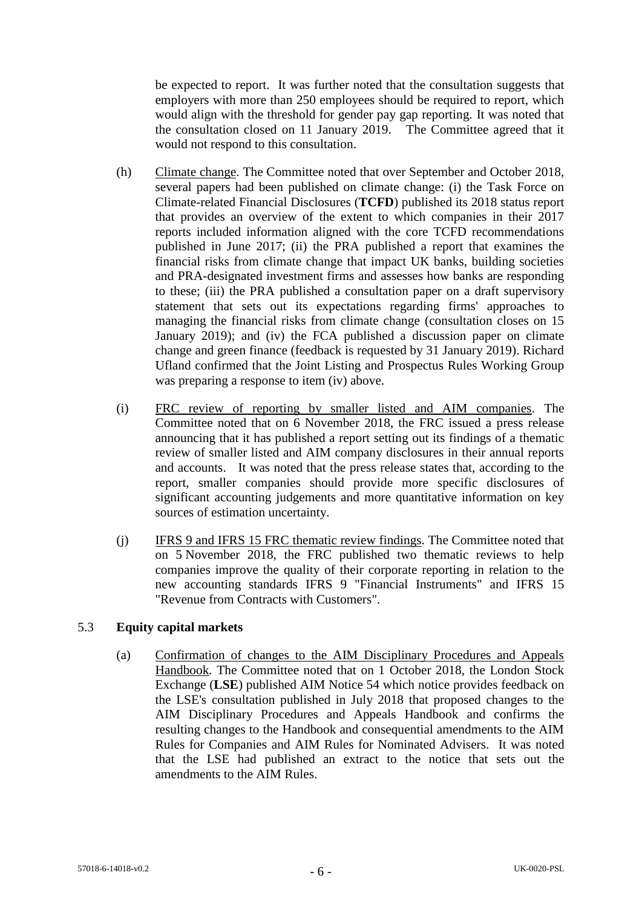be expected to report. It was further noted that the consultation suggests that employers with more than 250 employees should be required to report, which would align with the threshold for gender pay gap reporting. It was noted that the consultation closed on 11 January 2019. The Committee agreed that it would not respond to this consultation.

- (h) Climate change. The Committee noted that over September and October 2018, several papers had been published on climate change: (i) the Task Force on Climate-related Financial Disclosures (**TCFD**) published its 2018 status report that provides an overview of the extent to which companies in their 2017 reports included information aligned with the core TCFD recommendations published in June 2017; (ii) the PRA published a report that examines the financial risks from climate change that impact UK banks, building societies and PRA-designated investment firms and assesses how banks are responding to these; (iii) the PRA published a consultation paper on a draft supervisory statement that sets out its expectations regarding firms' approaches to managing the financial risks from climate change (consultation closes on 15) January 2019); and (iv) the FCA published a discussion paper on climate change and green finance (feedback is requested by 31 January 2019). Richard Ufland confirmed that the Joint Listing and Prospectus Rules Working Group was preparing a response to item (iv) above.
- (i) FRC review of reporting by smaller listed and AIM companies*.* The Committee noted that on 6 November 2018, the FRC issued a press release announcing that it has published a report setting out its findings of a thematic review of smaller listed and AIM company disclosures in their annual reports and accounts. It was noted that the press release states that, according to the report, smaller companies should provide more specific disclosures of significant accounting judgements and more quantitative information on key sources of estimation uncertainty.
- (j) IFRS 9 and IFRS 15 FRC thematic review findings. The Committee noted that on 5 November 2018, the FRC published two thematic reviews to help companies improve the quality of their corporate reporting in relation to the new accounting standards IFRS 9 "Financial Instruments" and IFRS 15 "Revenue from Contracts with Customers".

## 5.3 **Equity capital markets**

(a) Confirmation of changes to the AIM Disciplinary Procedures and Appeals Handbook*.* The Committee noted that on 1 October 2018, the London Stock Exchange (**LSE**) published AIM Notice 54 which notice provides feedback on the LSE's consultation published in July 2018 that proposed changes to the AIM Disciplinary Procedures and Appeals Handbook and confirms the resulting changes to the Handbook and consequential amendments to the AIM Rules for Companies and AIM Rules for Nominated Advisers. It was noted that the LSE had published an extract to the notice that sets out the amendments to the AIM Rules.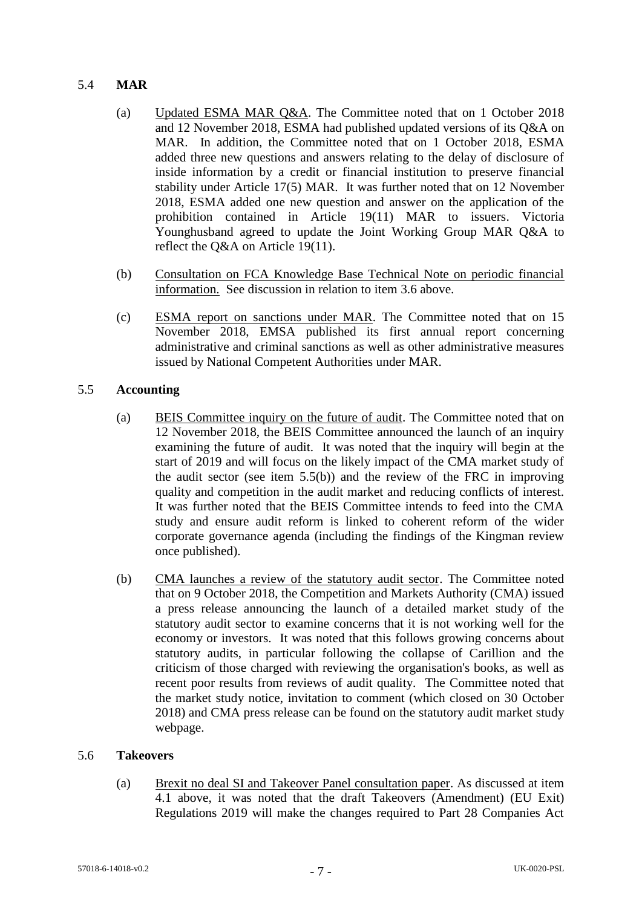## 5.4 **MAR**

- (a) Updated ESMA MAR Q&A. The Committee noted that on 1 October 2018 and 12 November 2018, ESMA had published updated versions of its Q&A on MAR. In addition, the Committee noted that on 1 October 2018, ESMA added three new questions and answers relating to the delay of disclosure of inside information by a credit or financial institution to preserve financial stability under Article 17(5) MAR. It was further noted that on 12 November 2018, ESMA added one new question and answer on the application of the prohibition contained in Article 19(11) MAR to issuers. Victoria Younghusband agreed to update the Joint Working Group MAR Q&A to reflect the Q&A on Article 19(11).
- (b) Consultation on FCA Knowledge Base Technical Note on periodic financial information. See discussion in relation to item [3.6](#page-1-0) above.
- (c) ESMA report on sanctions under MAR. The Committee noted that on 15 November 2018, EMSA published its first annual report concerning administrative and criminal sanctions as well as other administrative measures issued by National Competent Authorities under MAR.

## 5.5 **Accounting**

- (a) BEIS Committee inquiry on the future of audit. The Committee noted that on 12 November 2018, the BEIS Committee announced the launch of an inquiry examining the future of audit. It was noted that the inquiry will begin at the start of 2019 and will focus on the likely impact of the CMA market study of the audit sector (see item 5.5(b)) and the review of the FRC in improving quality and competition in the audit market and reducing conflicts of interest. It was further noted that the BEIS Committee intends to feed into the CMA study and ensure audit reform is linked to coherent reform of the wider corporate governance agenda (including the findings of the Kingman review once published).
- (b) CMA launches a review of the statutory audit sector. The Committee noted that on 9 October 2018, the Competition and Markets Authority (CMA) issued a press release announcing the launch of a detailed market study of the statutory audit sector to examine concerns that it is not working well for the economy or investors. It was noted that this follows growing concerns about statutory audits, in particular following the collapse of Carillion and the criticism of those charged with reviewing the organisation's books, as well as recent poor results from reviews of audit quality. The Committee noted that the market study notice, invitation to comment (which closed on 30 October 2018) and CMA press release can be found on the statutory audit market study webpage.

### 5.6 **Takeovers**

(a) Brexit no deal SI and Takeover Panel consultation paper. As discussed at item 4.1 above, it was noted that the draft Takeovers (Amendment) (EU Exit) Regulations 2019 will make the changes required to Part 28 Companies Act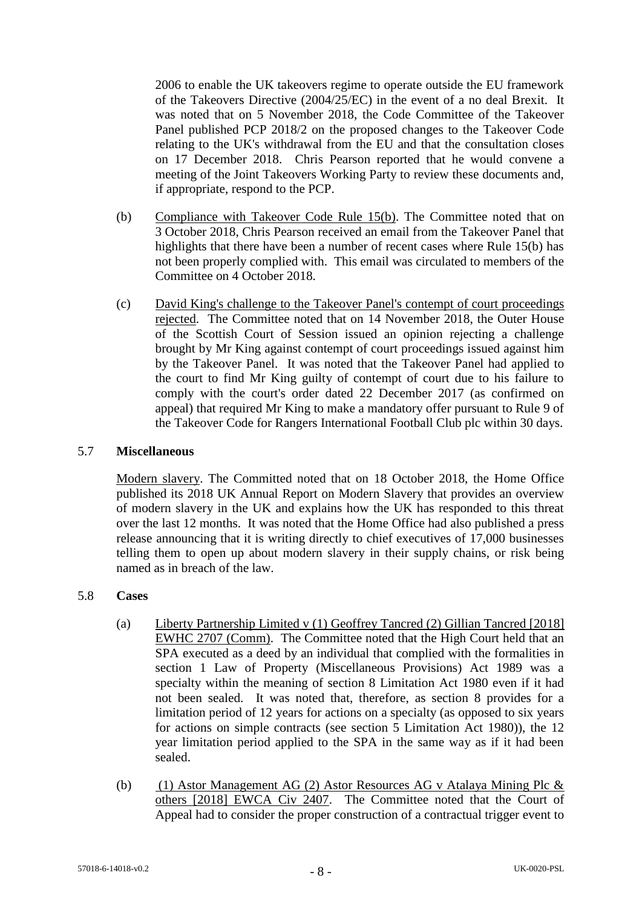2006 to enable the UK takeovers regime to operate outside the EU framework of the Takeovers Directive (2004/25/EC) in the event of a no deal Brexit. It was noted that on 5 November 2018, the Code Committee of the Takeover Panel published PCP 2018/2 on the proposed changes to the Takeover Code relating to the UK's withdrawal from the EU and that the consultation closes on 17 December 2018. Chris Pearson reported that he would convene a meeting of the Joint Takeovers Working Party to review these documents and, if appropriate, respond to the PCP.

- (b) Compliance with Takeover Code Rule 15(b). The Committee noted that on 3 October 2018, Chris Pearson received an email from the Takeover Panel that highlights that there have been a number of recent cases where Rule 15(b) has not been properly complied with. This email was circulated to members of the Committee on 4 October 2018.
- (c) David King's challenge to the Takeover Panel's contempt of court proceedings rejected. The Committee noted that on 14 November 2018, the Outer House of the Scottish Court of Session issued an opinion rejecting a challenge brought by Mr King against contempt of court proceedings issued against him by the Takeover Panel. It was noted that the Takeover Panel had applied to the court to find Mr King guilty of contempt of court due to his failure to comply with the court's order dated 22 December 2017 (as confirmed on appeal) that required Mr King to make a mandatory offer pursuant to Rule 9 of the Takeover Code for Rangers International Football Club plc within 30 days.

#### 5.7 **Miscellaneous**

Modern slavery. The Committed noted that on 18 October 2018, the Home Office published its 2018 UK Annual Report on Modern Slavery that provides an overview of modern slavery in the UK and explains how the UK has responded to this threat over the last 12 months. It was noted that the Home Office had also published a press release announcing that it is writing directly to chief executives of 17,000 businesses telling them to open up about modern slavery in their supply chains, or risk being named as in breach of the law.

#### 5.8 **Cases**

- (a) Liberty Partnership Limited v (1) Geoffrey Tancred (2) Gillian Tancred [2018] EWHC 2707 (Comm). The Committee noted that the High Court held that an SPA executed as a deed by an individual that complied with the formalities in section 1 Law of Property (Miscellaneous Provisions) Act 1989 was a specialty within the meaning of section 8 Limitation Act 1980 even if it had not been sealed. It was noted that, therefore, as section 8 provides for a limitation period of 12 years for actions on a specialty (as opposed to six years for actions on simple contracts (see section 5 Limitation Act 1980)), the 12 year limitation period applied to the SPA in the same way as if it had been sealed.
- (b) (1) Astor Management AG (2) Astor Resources AG v Atalaya Mining Plc & others [2018] EWCA Civ 2407. The Committee noted that the Court of Appeal had to consider the proper construction of a contractual trigger event to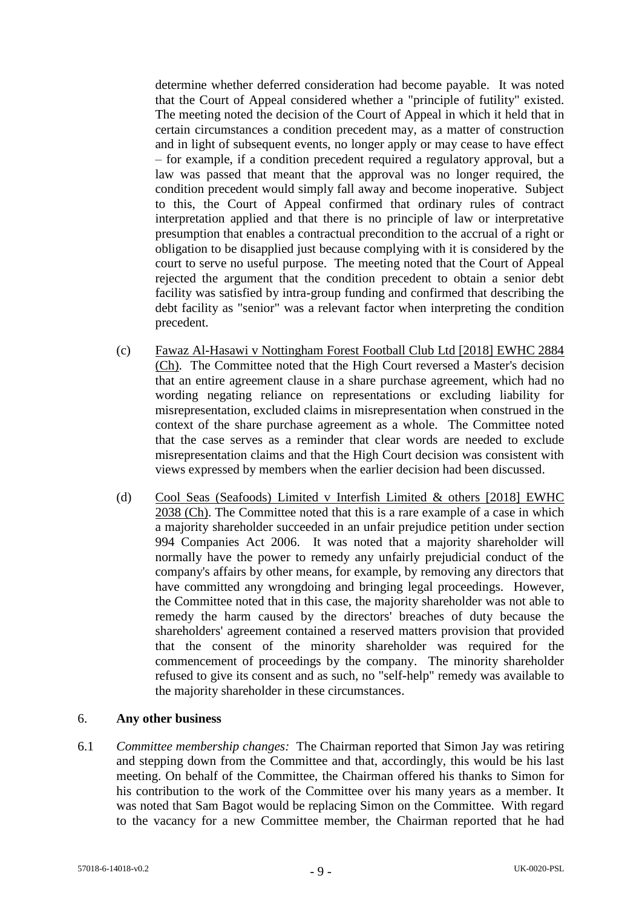determine whether deferred consideration had become payable. It was noted that the Court of Appeal considered whether a "principle of futility" existed. The meeting noted the decision of the Court of Appeal in which it held that in certain circumstances a condition precedent may, as a matter of construction and in light of subsequent events, no longer apply or may cease to have effect – for example, if a condition precedent required a regulatory approval, but a law was passed that meant that the approval was no longer required, the condition precedent would simply fall away and become inoperative. Subject to this, the Court of Appeal confirmed that ordinary rules of contract interpretation applied and that there is no principle of law or interpretative presumption that enables a contractual precondition to the accrual of a right or obligation to be disapplied just because complying with it is considered by the court to serve no useful purpose. The meeting noted that the Court of Appeal rejected the argument that the condition precedent to obtain a senior debt facility was satisfied by intra-group funding and confirmed that describing the debt facility as "senior" was a relevant factor when interpreting the condition precedent.

- (c) Fawaz Al-Hasawi v Nottingham Forest Football Club Ltd [2018] EWHC 2884 (Ch). The Committee noted that the High Court reversed a Master's decision that an entire agreement clause in a share purchase agreement, which had no wording negating reliance on representations or excluding liability for misrepresentation, excluded claims in misrepresentation when construed in the context of the share purchase agreement as a whole. The Committee noted that the case serves as a reminder that clear words are needed to exclude misrepresentation claims and that the High Court decision was consistent with views expressed by members when the earlier decision had been discussed.
- (d) Cool Seas (Seafoods) Limited v Interfish Limited & others [2018] EWHC 2038 (Ch). The Committee noted that this is a rare example of a case in which a majority shareholder succeeded in an unfair prejudice petition under section 994 Companies Act 2006. It was noted that a majority shareholder will normally have the power to remedy any unfairly prejudicial conduct of the company's affairs by other means, for example, by removing any directors that have committed any wrongdoing and bringing legal proceedings. However, the Committee noted that in this case, the majority shareholder was not able to remedy the harm caused by the directors' breaches of duty because the shareholders' agreement contained a reserved matters provision that provided that the consent of the minority shareholder was required for the commencement of proceedings by the company. The minority shareholder refused to give its consent and as such, no "self-help" remedy was available to the majority shareholder in these circumstances.

### 6. **Any other business**

6.1 *Committee membership changes:* The Chairman reported that Simon Jay was retiring and stepping down from the Committee and that, accordingly, this would be his last meeting. On behalf of the Committee, the Chairman offered his thanks to Simon for his contribution to the work of the Committee over his many years as a member. It was noted that Sam Bagot would be replacing Simon on the Committee. With regard to the vacancy for a new Committee member, the Chairman reported that he had